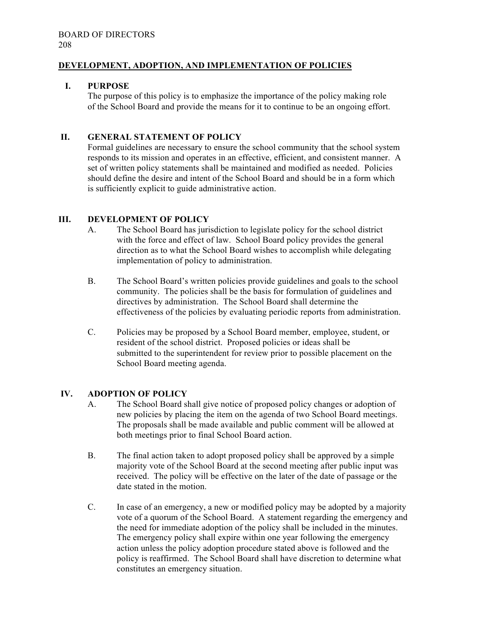## **DEVELOPMENT, ADOPTION, AND IMPLEMENTATION OF POLICIES**

## **I. PURPOSE**

The purpose of this policy is to emphasize the importance of the policy making role of the School Board and provide the means for it to continue to be an ongoing effort.

## **II. GENERAL STATEMENT OF POLICY**

Formal guidelines are necessary to ensure the school community that the school system responds to its mission and operates in an effective, efficient, and consistent manner. A set of written policy statements shall be maintained and modified as needed. Policies should define the desire and intent of the School Board and should be in a form which is sufficiently explicit to guide administrative action.

# **III. DEVELOPMENT OF POLICY**

- A. The School Board has jurisdiction to legislate policy for the school district with the force and effect of law. School Board policy provides the general direction as to what the School Board wishes to accomplish while delegating implementation of policy to administration.
- B. The School Board's written policies provide guidelines and goals to the school community. The policies shall be the basis for formulation of guidelines and directives by administration. The School Board shall determine the effectiveness of the policies by evaluating periodic reports from administration.
- C. Policies may be proposed by a School Board member, employee, student, or resident of the school district. Proposed policies or ideas shall be submitted to the superintendent for review prior to possible placement on the School Board meeting agenda.

## **IV. ADOPTION OF POLICY**

- A. The School Board shall give notice of proposed policy changes or adoption of new policies by placing the item on the agenda of two School Board meetings. The proposals shall be made available and public comment will be allowed at both meetings prior to final School Board action.
- B. The final action taken to adopt proposed policy shall be approved by a simple majority vote of the School Board at the second meeting after public input was received. The policy will be effective on the later of the date of passage or the date stated in the motion.
- C. In case of an emergency, a new or modified policy may be adopted by a majority vote of a quorum of the School Board. A statement regarding the emergency and the need for immediate adoption of the policy shall be included in the minutes. The emergency policy shall expire within one year following the emergency action unless the policy adoption procedure stated above is followed and the policy is reaffirmed. The School Board shall have discretion to determine what constitutes an emergency situation.